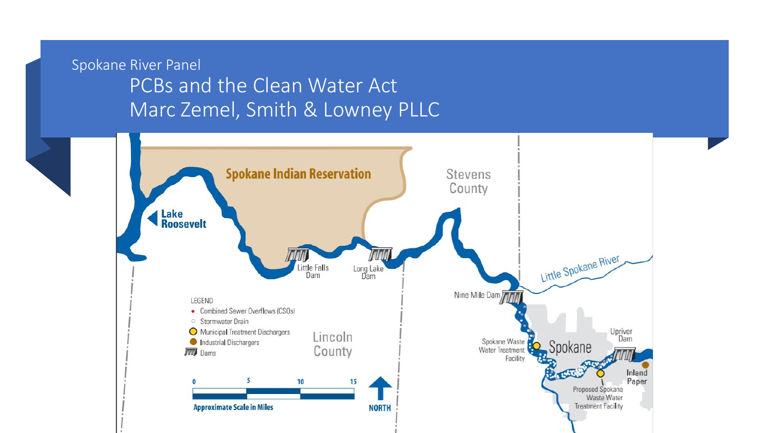### Spokane River Panel PCBs and the Clean Water Act Marc Zemel, Smith & Lowney PLLC

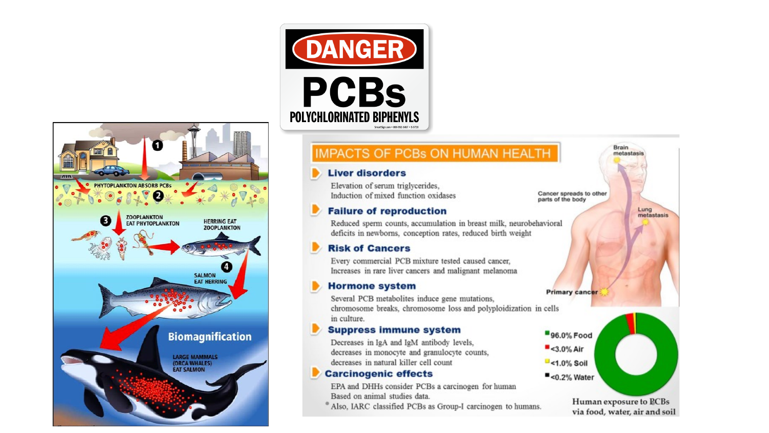



#### **IMPACTS OF PCBs ON HUMAN HEALTH**

#### **Liver disorders**

Elevation of serum triglycerides, Induction of mixed function oxidases

#### **Failure of reproduction**

Reduced sperm counts, accumulation in breast milk, neurobehavioral deficits in newborns, conception rates, reduced birth weight

#### **Risk of Cancers**

Every commercial PCB mixture tested caused cancer, Increases in rare liver cancers and malignant melanoma

#### **Hormone system**

Several PCB metabolites induce gene mutations, chromosome breaks, chromosome loss and polyploidization in cells in culture.

#### **Suppress immune system**

Decreases in IgA and IgM antibody levels, decreases in monocyte and granulocyte counts, decreases in natural killer cell count

#### **Carcinogenic effects**

EPA and DHHs consider PCBs a carcinogen for human Based on animal studies data.

<sup>®</sup> Also, IARC classified PCBs as Group-I carcinogen to humans.

Cancer spreads to other parts of the body

#### **Primary cancer**

96.0% Food

- $-43.0\%$  Air
- $-$ <1.0% Soil  $<sub>0.2%</sub> Water$ </sub>

Human exposure to PCBs via food, water, air and soil

**Brain** 

metastasi

Lung<br>metastasis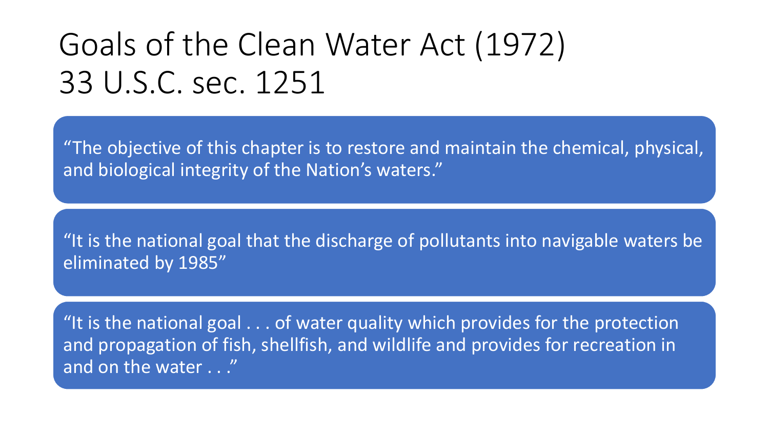# Goals of the Clean Water Act (1972) 33 U.S.C. sec. 1251

"The objective of this chapter is to restore and maintain the chemical, physical, and biological integrity of the Nation's waters."

"It is the national goal that the discharge of pollutants into navigable waters be eliminated by 1985"

"It is the national goal . . . of water quality which provides for the protection and propagation of fish, shellfish, and wildlife and provides for recreation in and on the water . . ."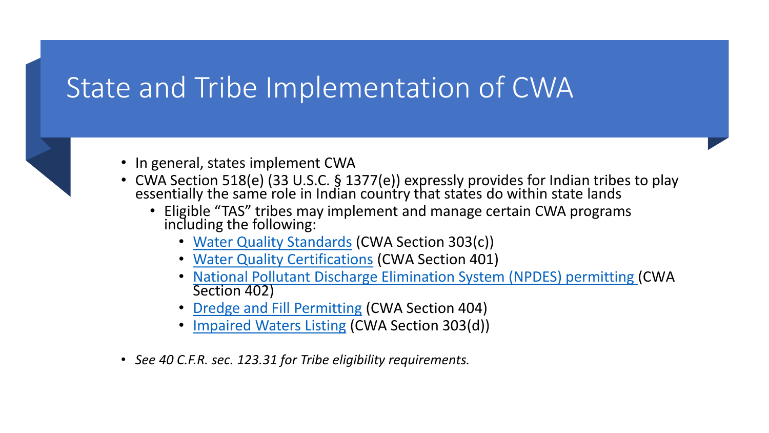# State and Tribe Implementation of CWA



- In general, states implement CWA
- CWA Section 518(e) (33 U.S.C. § 1377(e)) expressly provides for Indian tribes to play<br>essentially the same role in Indian country that states do within state lands
	- Eligible "TAS" tribes may implement and manage certain CWA programs including the following:
		- [Water Quality Standards](https://www.epa.gov/standards-water-body-health) (CWA Section 303(c))
		- [Water Quality Certifications](https://www.epa.gov/cwa-401) (CWA Section 401)
		- National Pollutant Discharge Elimination System (NPDES) permitting (CWA [Section 402\)](https://www.epa.gov/npdes)
		- [Dredge and Fill Permitting](https://www.epa.gov/cwa-404) (CWA Section 404)
		- [Impaired Waters Listing](https://www.epa.gov/tmdl) (CWA Section 303(d))
- *See 40 C.F.R. sec. 123.31 for Tribe eligibility requirements.*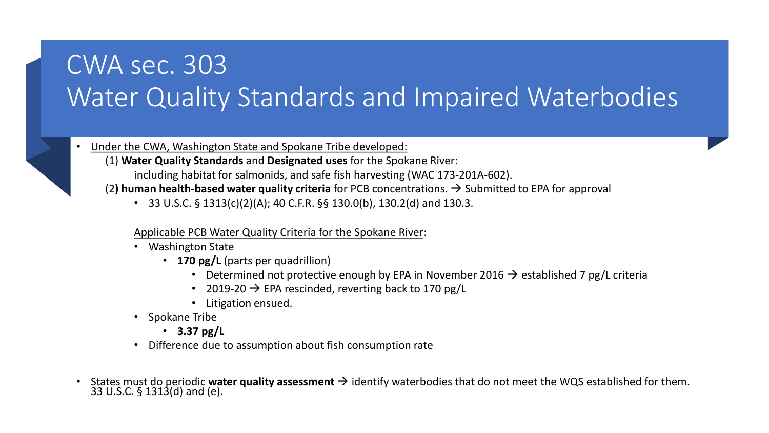## CWA sec. 303 Water Quality Standards and Impaired Waterbodies

- Under the CWA, Washington State and Spokane Tribe developed:
	- (1) **Water Quality Standards** and **Designated uses** for the Spokane River: including habitat for salmonids, and safe fish harvesting (WAC 173-201A-602).
	- (2) human health-based water quality criteria for PCB concentrations.  $\rightarrow$  Submitted to EPA for approval
		- 33 U.S.C. § 1313(c)(2)(A); 40 C.F.R. §§ 130.0(b), 130.2(d) and 130.3.

#### Applicable PCB Water Quality Criteria for the Spokane River:

- Washington State
	- **170 pg/L** (parts per quadrillion)
		- Determined not protective enough by EPA in November 2016  $\rightarrow$  established 7 pg/L criteria
		- 2019-20  $\rightarrow$  EPA rescinded, reverting back to 170 pg/L
		- Litigation ensued.
- Spokane Tribe
	- **3.37 pg/L**
- Difference due to assumption about fish consumption rate
- States must do periodic water quality assessment  $\rightarrow$  identify waterbodies that do not meet the WQS established for them. 33 U.S.C. § 1313(d) and (e).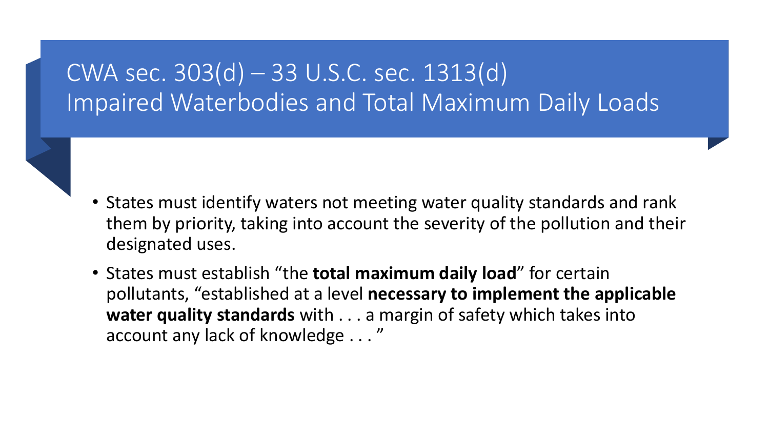## CWA sec. 303(d) – 33 U.S.C. sec. 1313(d) Impaired Waterbodies and Total Maximum Daily Loads

- States must identify waters not meeting water quality standards and rank them by priority, taking into account the severity of the pollution and their designated uses.
- States must establish "the **total maximum daily load**" for certain pollutants, "established at a level **necessary to implement the applicable water quality standards** with . . . a margin of safety which takes into account any lack of knowledge . . . "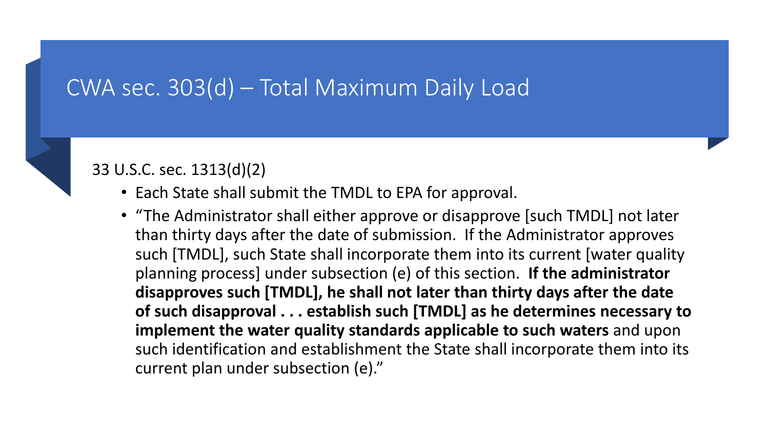### CWA sec. 303(d) – Total Maximum Daily Load

### 33 U.S.C. sec. 1313(d)(2)

- Each State shall submit the TMDL to EPA for approval.
- "The Administrator shall either approve or disapprove [such TMDL] not later than thirty days after the date of submission. If the Administrator approves such [TMDL], such State shall incorporate them into its current [water quality planning process] under subsection (e) of this section. **If the administrator disapproves such [TMDL], he shall not later than thirty days after the date of such disapproval . . . establish such [TMDL] as he determines necessary to implement the water quality standards applicable to such waters** and upon such identification and establishment the State shall incorporate them into its current plan under subsection (e)."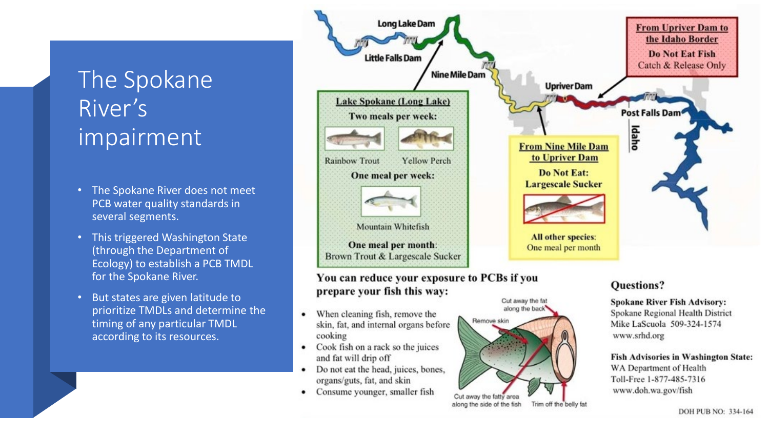## The Spokane River's impairment

- The Spokane River does not meet PCB water quality standards in several segments.
- This triggered Washington State (through the Department of Ecology) to establish a PCB TMDL for the Spokane River.
- But states are given latitude to prioritize TMDLs and determine the timing of any particular TMDL according to its resources.



- When cleaning fish, remove the  $\bullet$ skin, fat, and internal organs before cooking
- Cook fish on a rack so the juices and fat will drip off
- Do not eat the head, juices, bones, organs/guts, fat, and skin
- Consume younger, smaller fish



along the side of the fish

Trim off the belly fat

WA Department of Health Toll-Free 1-877-485-7316

**Fish Advisories in Washington State:** 

Spokane Regional Health District

Mike LaScuola 509-324-1574

www.srhd.org

www.doh.wa.gov/fish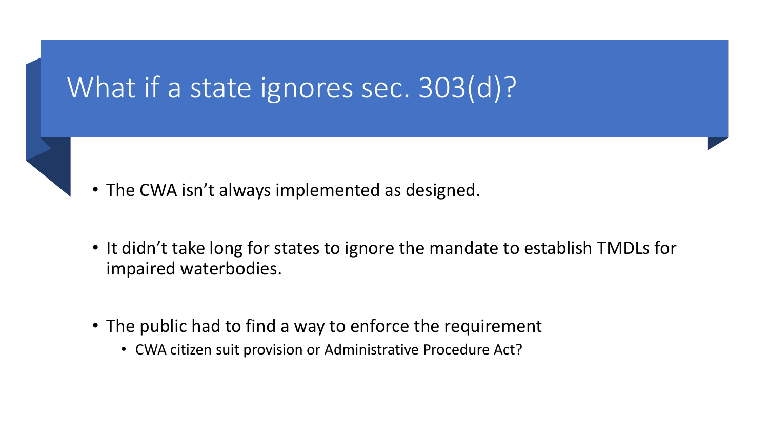# What if a state ignores sec. 303(d)?

- The CWA isn't always implemented as designed.
- It didn't take long for states to ignore the mandate to establish TMDLs for impaired waterbodies.
- The public had to find a way to enforce the requirement
	- CWA citizen suit provision or Administrative Procedure Act?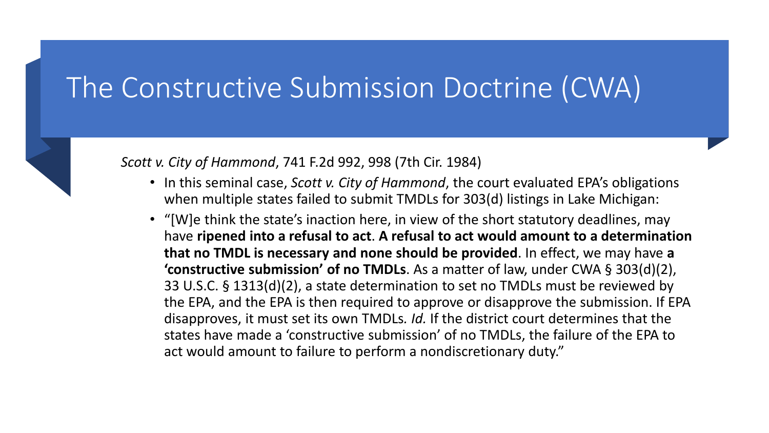## The Constructive Submission Doctrine (CWA)



### *Scott v. City of Hammond*, 741 F.2d 992, 998 (7th Cir. 1984)

- In this seminal case, *Scott v. City of Hammond*, the court evaluated EPA's obligations when multiple states failed to submit TMDLs for 303(d) listings in Lake Michigan:
- "[W]e think the state's inaction here, in view of the short statutory deadlines, may have **ripened into a refusal to act**. **A refusal to act would amount to a determination that no TMDL is necessary and none should be provided**. In effect, we may have **a 'constructive submission' of no TMDLs**. As a matter of law, under CWA § 303(d)(2), 33 U.S.C. § 1313(d)(2), a state determination to set no TMDLs must be reviewed by the EPA, and the EPA is then required to approve or disapprove the submission. If EPA disapproves, it must set its own TMDLs*. Id.* If the district court determines that the states have made a 'constructive submission' of no TMDLs, the failure of the EPA to act would amount to failure to perform a nondiscretionary duty."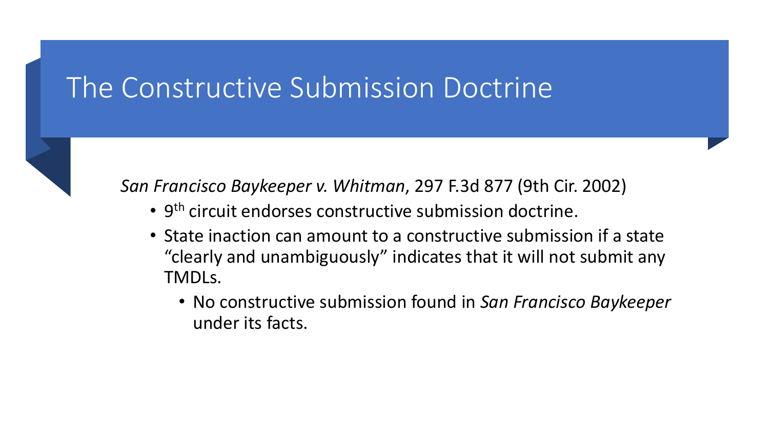## The Constructive Submission Doctrine



*San Francisco Baykeeper v. Whitman*, 297 F.3d 877 (9th Cir. 2002)

- 9<sup>th</sup> circuit endorses constructive submission doctrine.
- State inaction can amount to a constructive submission if a state "clearly and unambiguously" indicates that it will not submit any TMDLs.
	- No constructive submission found in *San Francisco Baykeeper* under its facts.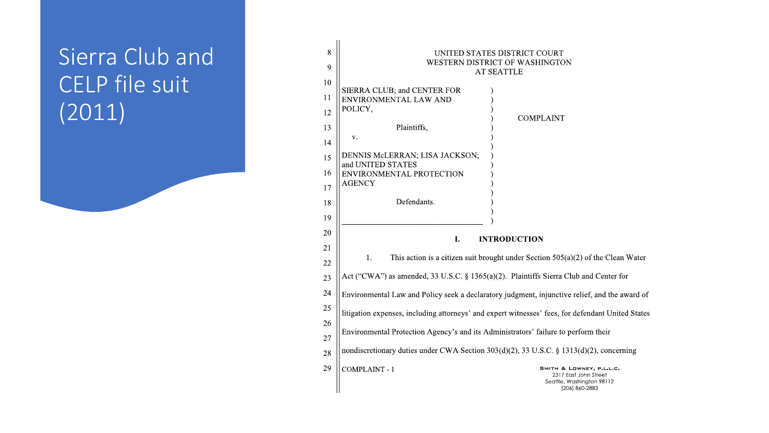## Sierra Club and CELP file suit (2011)

| 8  | UNITED STATES DISTRICT COURT                                                                      |                                                                                                  |  |  |
|----|---------------------------------------------------------------------------------------------------|--------------------------------------------------------------------------------------------------|--|--|
| 9  | WESTERN DISTRICT OF WASHINGTON<br><b>AT SEATTLE</b>                                               |                                                                                                  |  |  |
| 10 | SIERRA CLUB; and CENTER FOR                                                                       |                                                                                                  |  |  |
| 11 | <b>ENVIRONMENTAL LAW AND</b>                                                                      |                                                                                                  |  |  |
| 12 | POLICY,                                                                                           | <b>COMPLAINT</b>                                                                                 |  |  |
| 13 | Plaintiffs,                                                                                       |                                                                                                  |  |  |
| 14 | V.                                                                                                |                                                                                                  |  |  |
| 15 | DENNIS McLERRAN; LISA JACKSON;                                                                    |                                                                                                  |  |  |
| 16 | and UNITED STATES<br>ENVIRONMENTAL PROTECTION                                                     |                                                                                                  |  |  |
| 17 | <b>AGENCY</b>                                                                                     |                                                                                                  |  |  |
| 18 | Defendants.                                                                                       |                                                                                                  |  |  |
| 19 |                                                                                                   |                                                                                                  |  |  |
| 20 |                                                                                                   |                                                                                                  |  |  |
| 21 | I.<br><b>INTRODUCTION</b>                                                                         |                                                                                                  |  |  |
| 22 | This action is a citizen suit brought under Section $505(a)(2)$ of the Clean Water<br>1.          |                                                                                                  |  |  |
| 23 | Act ("CWA") as amended, 33 U.S.C. § 1365(a)(2). Plaintiffs Sierra Club and Center for             |                                                                                                  |  |  |
| 24 | Environmental Law and Policy seek a declaratory judgment, injunctive relief, and the award of     |                                                                                                  |  |  |
| 25 | litigation expenses, including attorneys' and expert witnesses' fees, for defendant United States |                                                                                                  |  |  |
| 26 |                                                                                                   |                                                                                                  |  |  |
| 27 | Environmental Protection Agency's and its Administrators' failure to perform their                |                                                                                                  |  |  |
| 28 | nondiscretionary duties under CWA Section 303(d)(2), 33 U.S.C. § 1313(d)(2), concerning           |                                                                                                  |  |  |
| 29 | <b>COMPLAINT-1</b>                                                                                | SMITH & LOWNEY, P.L.L.C.<br>2317 East John Street<br>Seattle, Washington 98112<br>(206) 860-2883 |  |  |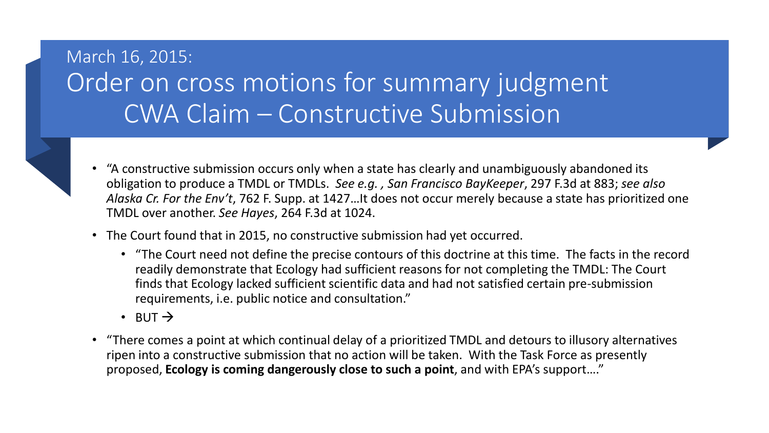## March 16, 2015: Order on cross motions for summary judgment CWA Claim – Constructive Submission

- 
- "A constructive submission occurs only when a state has clearly and unambiguously abandoned its obligation to produce a TMDL or TMDLs. *See e.g. , San Francisco BayKeeper*, 297 F.3d at 883; *see also Alaska Cr. For the Env't*, 762 F. Supp. at 1427…It does not occur merely because a state has prioritized one TMDL over another. *See Hayes*, 264 F.3d at 1024.
- The Court found that in 2015, no constructive submission had yet occurred.
	- "The Court need not define the precise contours of this doctrine at this time. The facts in the record readily demonstrate that Ecology had sufficient reasons for not completing the TMDL: The Court finds that Ecology lacked sufficient scientific data and had not satisfied certain pre-submission requirements, i.e. public notice and consultation."
	- BUT  $\rightarrow$
- "There comes a point at which continual delay of a prioritized TMDL and detours to illusory alternatives ripen into a constructive submission that no action will be taken. With the Task Force as presently proposed, **Ecology is coming dangerously close to such a point**, and with EPA's support…."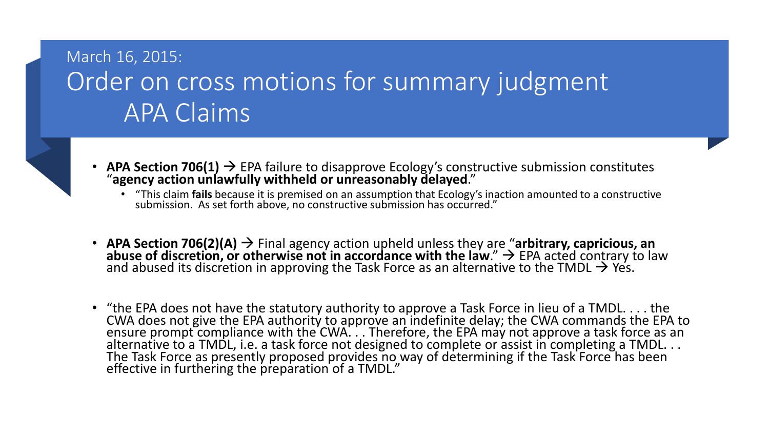### March 16, 2015: Order on cross motions for summary judgment APA Claims



- **APA Section 706(1)**  $\rightarrow$  EPA failure to disapprove Ecology's constructive submission constitutes "agency action unlawfully withheld or unreasonably delayed."
	- "This claim **fails** because it is premised on an assumption that Ecology's inaction amounted to a constructive submission. As set forth above, no constructive submission has occurred."
- APA Section 706(2)(A)  $\rightarrow$  Final agency action upheld unless they are "arbitrary, capricious, an abuse of discretion, or otherwise not in accordance with the law."  $\rightarrow$  EPA acted contrary to law and abused its discretio
- "the EPA does not have the statutory authority to approve a Task Force in lieu of a TMDL. . . . the CWA does not give the EPA authority to approve an indefinite delay; the CWA commands the EPA to ensure prompt compliance with the CWA. . . Therefore, the EPA may not approve a task force as an alternative to a TMDL, i.e. a task force not designed to complete or assist in completing a TMDL. . . The Task Force as presently proposed provides no way of determining if the Task Force has been effective in furthering the preparation of a TMDL."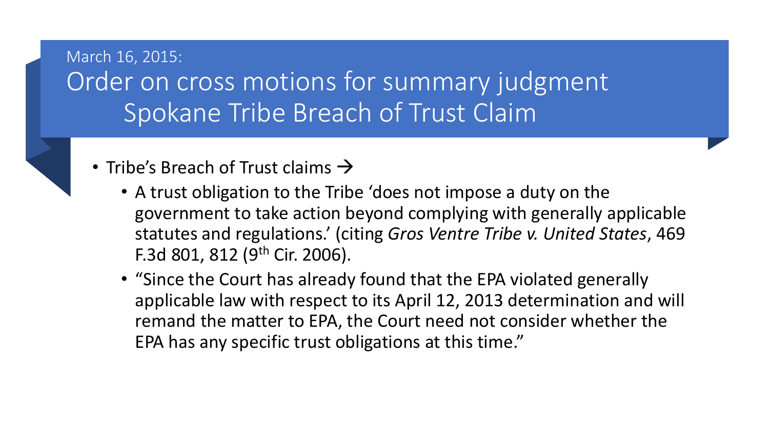### March 16, 2015: Order on cross motions for summary judgment Spokane Tribe Breach of Trust Claim

- Tribe's Breach of Trust claims  $\rightarrow$ 
	- A trust obligation to the Tribe 'does not impose a duty on the government to take action beyond complying with generally applicable statutes and regulations.' (citing *Gros Ventre Tribe v. United States*, 469 F.3d 801, 812 (9th Cir. 2006).
	- "Since the Court has already found that the EPA violated generally applicable law with respect to its April 12, 2013 determination and will remand the matter to EPA, the Court need not consider whether the EPA has any specific trust obligations at this time."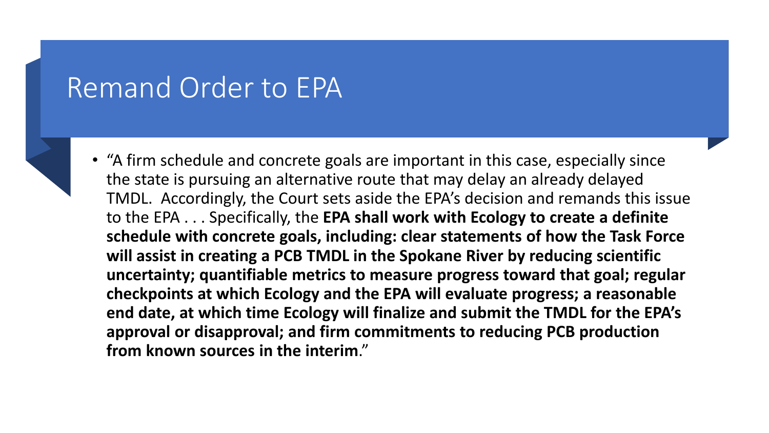## Remand Order to EPA



• "A firm schedule and concrete goals are important in this case, especially since the state is pursuing an alternative route that may delay an already delayed TMDL. Accordingly, the Court sets aside the EPA's decision and remands this issue to the EPA . . . Specifically, the **EPA shall work with Ecology to create a definite schedule with concrete goals, including: clear statements of how the Task Force will assist in creating a PCB TMDL in the Spokane River by reducing scientific uncertainty; quantifiable metrics to measure progress toward that goal; regular checkpoints at which Ecology and the EPA will evaluate progress; a reasonable end date, at which time Ecology will finalize and submit the TMDL for the EPA's approval or disapproval; and firm commitments to reducing PCB production from known sources in the interim**."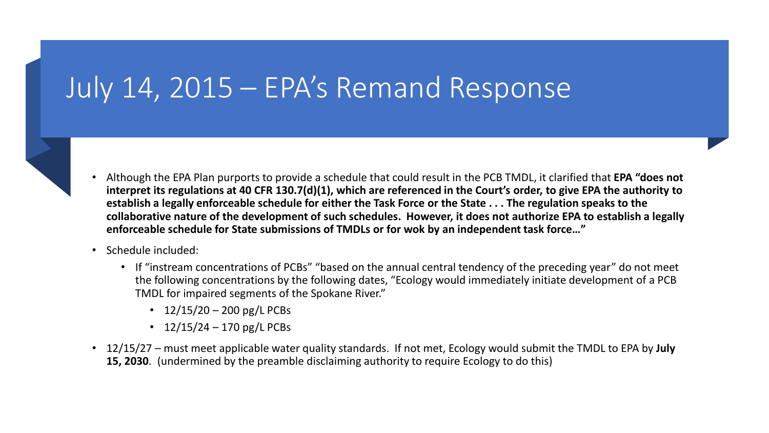# July 14, 2015 – EPA's Remand Response

- 
- Although the EPA Plan purports to provide a schedule that could result in the PCB TMDL, it clarified that **EPA "does not interpret its regulations at 40 CFR 130.7(d)(1), which are referenced in the Court's order, to give EPA the authority to establish a legally enforceable schedule for either the Task Force or the State . . . The regulation speaks to the collaborative nature of the development of such schedules. However, it does not authorize EPA to establish a legally enforceable schedule for State submissions of TMDLs or for wok by an independent task force…"**
- Schedule included:
	- If "instream concentrations of PCBs" "based on the annual central tendency of the preceding year" do not meet the following concentrations by the following dates, "Ecology would immediately initiate development of a PCB TMDL for impaired segments of the Spokane River."
		- $12/15/20 200$  pg/L PCBs
		- $12/15/24 170$  pg/L PCBs
- 12/15/27 must meet applicable water quality standards. If not met, Ecology would submit the TMDL to EPA by **July 15, 2030**. (undermined by the preamble disclaiming authority to require Ecology to do this)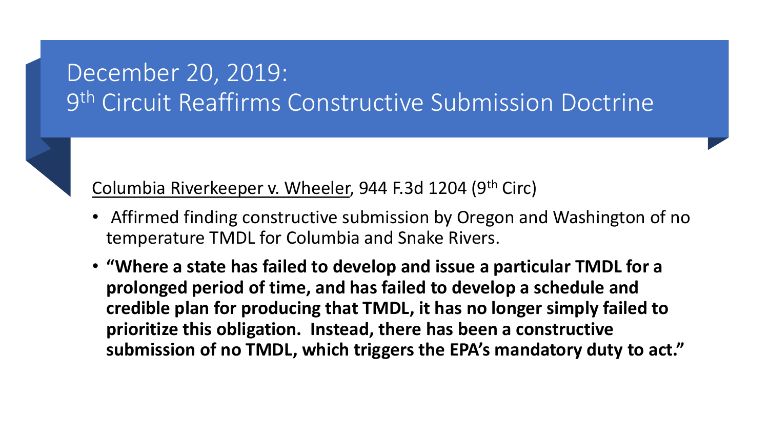## December 20, 2019: 9th Circuit Reaffirms Constructive Submission Doctrine

Columbia Riverkeeper v. Wheeler, 944 F.3d 1204 (9th Circ)

- Affirmed finding constructive submission by Oregon and Washington of no temperature TMDL for Columbia and Snake Rivers.
- **"Where a state has failed to develop and issue a particular TMDL for a prolonged period of time, and has failed to develop a schedule and credible plan for producing that TMDL, it has no longer simply failed to prioritize this obligation. Instead, there has been a constructive submission of no TMDL, which triggers the EPA's mandatory duty to act."**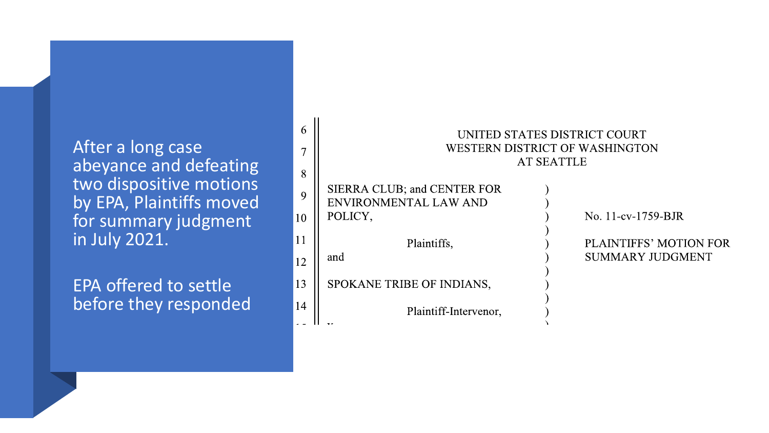After a long case abeyance and defeating two dispositive motions by EPA, Plaintiffs moved for summary judgment in July 2021.

EPA offered to settle before they responded

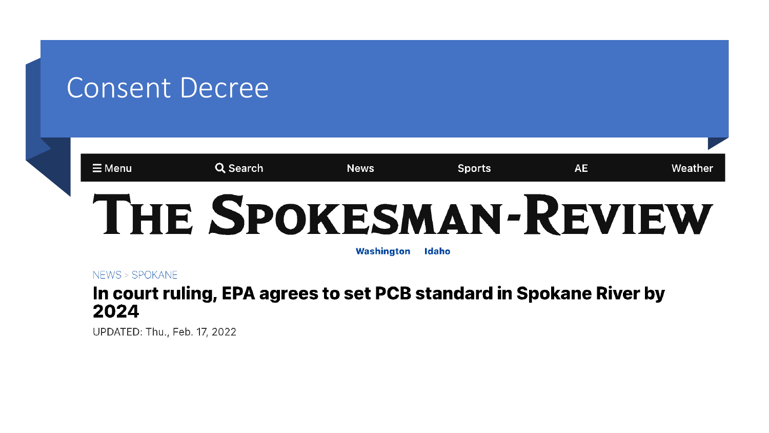## Consent Decree

#### $\equiv$  Menu Q Search **News Sports AE** Weather THE SPOKESMAN-REVIEW

Washington **Idaho** 

NFWS > SPOKANE

### In court ruling, EPA agrees to set PCB standard in Spokane River by 2024

UPDATED: Thu., Feb. 17, 2022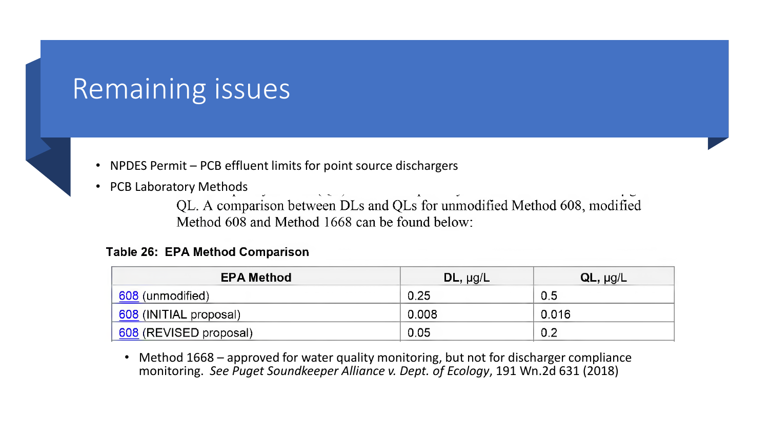## Remaining issues



- NPDES Permit PCB effluent limits for point source dischargers
- PCB Laboratory Methods

 $\sqrt{2}$ QL. A comparison between DLs and QLs for unmodified Method 608, modified Method 608 and Method 1668 can be found below:

#### **Table 26: EPA Method Comparison**

| <b>EPA Method</b>        | $DL$ , $\mu g/L$ | $QL$ , $\mu g/L$ |
|--------------------------|------------------|------------------|
| 608 (unmodified)         | 0.25             | 0.5              |
| 608 (INITIAL proposal)   | 0.008            | 0.016            |
| '_608 (REVISED proposal) | 0.05             | 0.2              |

• Method 1668 – approved for water quality monitoring, but not for discharger compliance monitoring. *See Puget Soundkeeper Alliance v. Dept. of Ecology*, 191 Wn.2d 631 (2018)